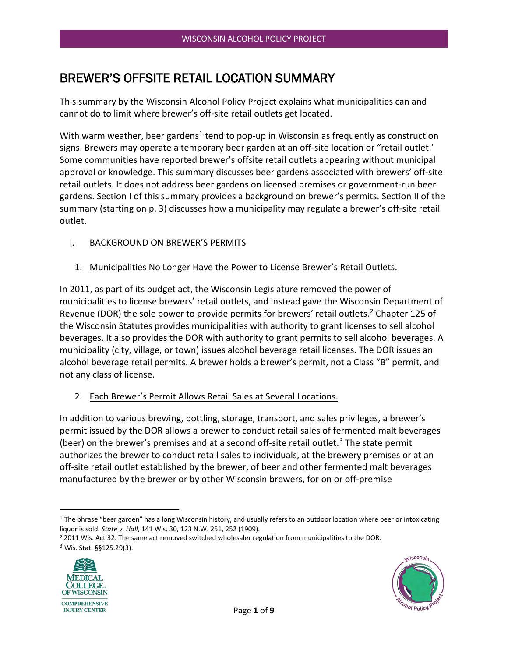# BREWER'S OFFSITE RETAIL LOCATION SUMMARY

This summary by the Wisconsin Alcohol Policy Project explains what municipalities can and cannot do to limit where brewer's off-site retail outlets get located.

With warm weather, beer gardens<sup>[1](#page-0-0)</sup> tend to pop-up in Wisconsin as frequently as construction signs. Brewers may operate a temporary beer garden at an off-site location or "retail outlet.' Some communities have reported brewer's offsite retail outlets appearing without municipal approval or knowledge. This summary discusses beer gardens associated with brewers' off-site retail outlets. It does not address beer gardens on licensed premises or government-run beer gardens. Section I of this summary provides a background on brewer's permits. Section II of the summary (starting on p. 3) discusses how a municipality may regulate a brewer's off-site retail outlet.

- I. BACKGROUND ON BREWER'S PERMITS
	- 1. Municipalities No Longer Have the Power to License Brewer's Retail Outlets.

In 2011, as part of its budget act, the Wisconsin Legislature removed the power of municipalities to license brewers' retail outlets, and instead gave the Wisconsin Department of Revenue (DOR) the sole power to provide permits for brewers' retail outlets.<sup>[2](#page-0-1)</sup> Chapter 125 of the Wisconsin Statutes provides municipalities with authority to grant licenses to sell alcohol beverages. It also provides the DOR with authority to grant permits to sell alcohol beverages. A municipality (city, village, or town) issues alcohol beverage retail licenses. The DOR issues an alcohol beverage retail permits. A brewer holds a brewer's permit, not a Class "B" permit, and not any class of license.

2. Each Brewer's Permit Allows Retail Sales at Several Locations.

In addition to various brewing, bottling, storage, transport, and sales privileges, a brewer's permit issued by the DOR allows a brewer to conduct retail sales of fermented malt beverages (beer) on the brewer's premises and at a second off-site retail outlet.<sup>[3](#page-0-2)</sup> The state permit authorizes the brewer to conduct retail sales to individuals, at the brewery premises or at an off-site retail outlet established by the brewer, of beer and other fermented malt beverages manufactured by the brewer or by other Wisconsin brewers, for on or off-premise

<span id="page-0-2"></span><span id="page-0-1"></span><sup>&</sup>lt;sup>2</sup> 2011 Wis. Act 32. The same act removed switched wholesaler regulation from municipalities to the DOR. <sup>3</sup> Wis. Stat. §§125.29(3).





<span id="page-0-0"></span> $1$  The phrase "beer garden" has a long Wisconsin history, and usually refers to an outdoor location where beer or intoxicating liquor is sold. *State v. Hall*, 141 Wis. 30, 123 N.W. 251, 252 (1909).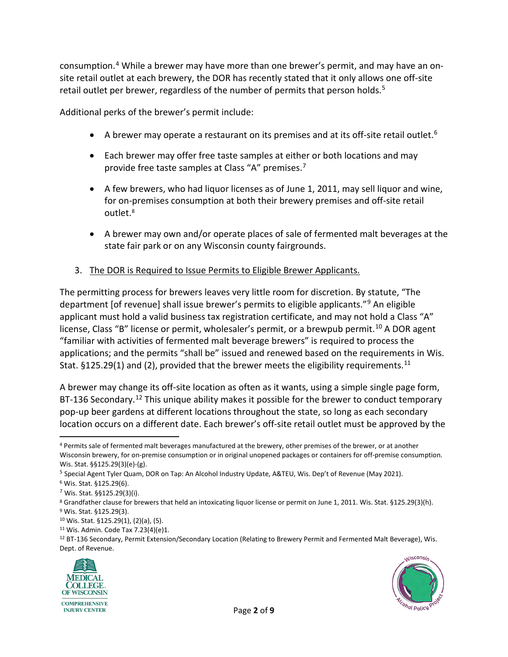consumption. [4](#page-1-0) While a brewer may have more than one brewer's permit, and may have an onsite retail outlet at each brewery, the DOR has recently stated that it only allows one off-site retail outlet per brewer, regardless of the number of permits that person holds.<sup>5</sup>

Additional perks of the brewer's permit include:

- A brewer may operate a restaurant on its premises and at its off-site retail outlet.<sup>[6](#page-1-2)</sup>
- Each brewer may offer free taste samples at either or both locations and may provide free taste samples at Class "A" premises. [7](#page-1-3)
- A few brewers, who had liquor licenses as of June 1, 2011, may sell liquor and wine, for on-premises consumption at both their brewery premises and off-site retail outlet.<sup>[8](#page-1-4)</sup>
- A brewer may own and/or operate places of sale of fermented malt beverages at the state fair park or on any Wisconsin county fairgrounds.
- 3. The DOR is Required to Issue Permits to Eligible Brewer Applicants.

The permitting process for brewers leaves very little room for discretion. By statute, "The department [of revenue] shall issue brewer's permits to eligible applicants."[9](#page-1-5) An eligible applicant must hold a valid business tax registration certificate, and may not hold a Class "A" license, Class "B" license or permit, wholesaler's permit, or a brewpub permit.<sup>[10](#page-1-6)</sup> A DOR agent "familiar with activities of fermented malt beverage brewers" is required to process the applications; and the permits "shall be" issued and renewed based on the requirements in Wis. Stat. §125.29(1) and (2), provided that the brewer meets the eligibility requirements.<sup>[11](#page-1-7)</sup>

A brewer may change its off-site location as often as it wants, using a simple single page form, BT-136 Secondary.<sup>[12](#page-1-8)</sup> This unique ability makes it possible for the brewer to conduct temporary pop-up beer gardens at different locations throughout the state, so long as each secondary location occurs on a different date. Each brewer's off-site retail outlet must be approved by the

<span id="page-1-8"></span><span id="page-1-7"></span><sup>&</sup>lt;sup>11</sup> Wis. Admin. Code Tax 7.23(4)(e)1.<br><sup>12</sup> BT-136 Secondary, Permit Extension/Secondary Location (Relating to Brewery Permit and Fermented Malt Beverage), Wis. Dept. of Revenue.





<span id="page-1-0"></span><sup>4</sup> Permits sale of fermented malt beverages manufactured at the brewery, other premises of the brewer, or at another Wisconsin brewery, for on-premise consumption or in original unopened packages or containers for off-premise consumption. Wis. Stat. §§125.29(3)(e)-(g).

<span id="page-1-1"></span><sup>&</sup>lt;sup>5</sup> Special Agent Tyler Quam, DOR on Tap: An Alcohol Industry Update, A&TEU, Wis. Dep't of Revenue (May 2021).

<span id="page-1-2"></span><sup>6</sup> Wis. Stat. §125.29(6).

<span id="page-1-3"></span><sup>7</sup> Wis. Stat. §§125.29(3)(i).

<span id="page-1-5"></span><span id="page-1-4"></span><sup>8</sup> Grandfather clause for brewers that held an intoxicating liquor license or permit on June 1, 2011. Wis. Stat. §125.29(3)(h). <sup>9</sup> Wis. Stat. §125.29(3).

<span id="page-1-6"></span><sup>10</sup> Wis. Stat. §125.29(1), (2)(a), (5).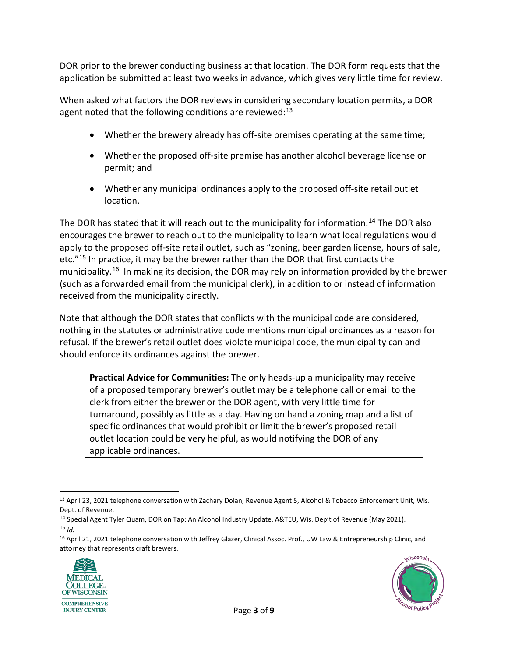DOR prior to the brewer conducting business at that location. The DOR form requests that the application be submitted at least two weeks in advance, which gives very little time for review.

When asked what factors the DOR reviews in considering secondary location permits, a DOR agent noted that the following conditions are reviewed:<sup>[13](#page-2-0)</sup>

- Whether the brewery already has off-site premises operating at the same time;
- Whether the proposed off-site premise has another alcohol beverage license or permit; and
- Whether any municipal ordinances apply to the proposed off-site retail outlet location.

The DOR has stated that it will reach out to the municipality for information.<sup>14</sup> The DOR also encourages the brewer to reach out to the municipality to learn what local regulations would apply to the proposed off-site retail outlet, such as "zoning, beer garden license, hours of sale, etc."<sup>[15](#page-2-2)</sup> In practice, it may be the brewer rather than the DOR that first contacts the municipality.<sup>16</sup> In making its decision, the DOR may rely on information provided by the brewer (such as a forwarded email from the municipal clerk), in addition to or instead of information received from the municipality directly.

Note that although the DOR states that conflicts with the municipal code are considered, nothing in the statutes or administrative code mentions municipal ordinances as a reason for refusal. If the brewer's retail outlet does violate municipal code, the municipality can and should enforce its ordinances against the brewer.

**Practical Advice for Communities:** The only heads-up a municipality may receive of a proposed temporary brewer's outlet may be a telephone call or email to the clerk from either the brewer or the DOR agent, with very little time for turnaround, possibly as little as a day. Having on hand a zoning map and a list of specific ordinances that would prohibit or limit the brewer's proposed retail outlet location could be very helpful, as would notifying the DOR of any applicable ordinances.

<span id="page-2-3"></span><span id="page-2-2"></span><sup>16</sup> April 21, 2021 telephone conversation with Jeffrey Glazer, Clinical Assoc. Prof., UW Law & Entrepreneurship Clinic, and attorney that represents craft brewers.





<span id="page-2-0"></span><sup>13</sup> April 23, 2021 telephone conversation with Zachary Dolan, Revenue Agent 5, Alcohol & Tobacco Enforcement Unit, Wis. Dept. of Revenue.

<span id="page-2-1"></span><sup>14</sup> Special Agent Tyler Quam, DOR on Tap: An Alcohol Industry Update, A&TEU, Wis. Dep't of Revenue (May 2021).  $15$  *Id.*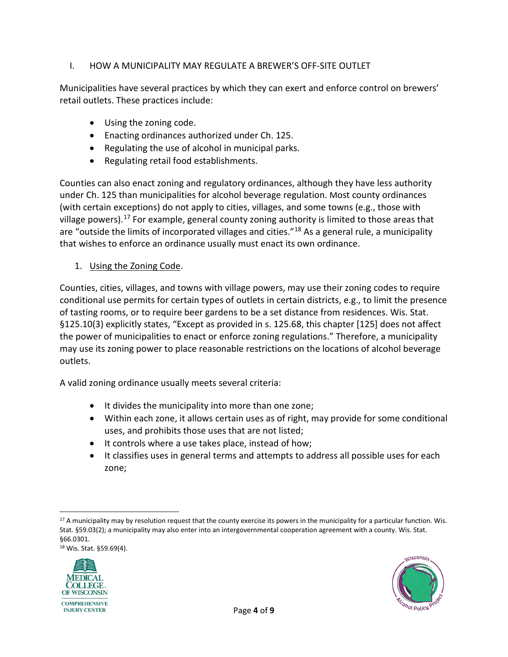### I. HOW A MUNICIPALITY MAY REGULATE A BREWER'S OFF-SITE OUTLET

Municipalities have several practices by which they can exert and enforce control on brewers' retail outlets. These practices include:

- Using the zoning code.
- Enacting ordinances authorized under Ch. 125.
- Regulating the use of alcohol in municipal parks.
- Regulating retail food establishments.

Counties can also enact zoning and regulatory ordinances, although they have less authority under Ch. 125 than municipalities for alcohol beverage regulation. Most county ordinances (with certain exceptions) do not apply to cities, villages, and some towns (e.g., those with village powers).<sup>[17](#page-3-0)</sup> For example, general county zoning authority is limited to those areas that are "outside the limits of incorporated villages and cities."<sup>[18](#page-3-1)</sup> As a general rule, a municipality that wishes to enforce an ordinance usually must enact its own ordinance.

1. Using the Zoning Code.

Counties, cities, villages, and towns with village powers, may use their zoning codes to require conditional use permits for certain types of outlets in certain districts, e.g., to limit the presence of tasting rooms, or to require beer gardens to be a set distance from residences. Wis. Stat. §125.10(3) explicitly states, "Except as provided in s. 125.68, this chapter [125] does not affect the power of municipalities to enact or enforce zoning regulations." Therefore, a municipality may use its zoning power to place reasonable restrictions on the locations of alcohol beverage outlets.

A valid zoning ordinance usually meets several criteria:

- It divides the municipality into more than one zone;
- Within each zone, it allows certain uses as of right, may provide for some conditional uses, and prohibits those uses that are not listed;
- It controls where a use takes place, instead of how;
- It classifies uses in general terms and attempts to address all possible uses for each zone;

<span id="page-3-1"></span><sup>18</sup> Wis. Stat. §59.69(4).





<span id="page-3-0"></span><sup>&</sup>lt;sup>17</sup> A municipality may by resolution request that the county exercise its powers in the municipality for a particular function. Wis. Stat. §59.03(2); a municipality may also enter into an intergovernmental cooperation agreement with a county. Wis. Stat. §66.0301.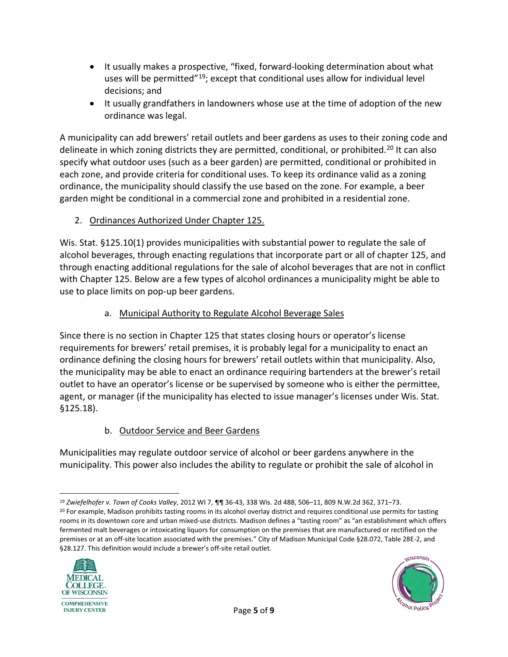- It usually makes a prospective, "fixed, forward-looking determination about what uses will be permitted"<sup>19</sup>; except that conditional uses allow for individual level decisions; and
- It usually grandfathers in landowners whose use at the time of adoption of the new ordinance was legal.

A municipality can add brewers' retail outlets and beer gardens as uses to their zoning code and delineate in which zoning districts they are permitted, conditional, or prohibited.<sup>[20](#page-4-1)</sup> It can also specify what outdoor uses (such as a beer garden) are permitted, conditional or prohibited in each zone, and provide criteria for conditional uses. To keep its ordinance valid as a zoning ordinance, the municipality should classify the use based on the zone. For example, a beer garden might be conditional in a commercial zone and prohibited in a residential zone.

### 2. Ordinances Authorized Under Chapter 125.

Wis. Stat. §125.10(1) provides municipalities with substantial power to regulate the sale of alcohol beverages, through enacting regulations that incorporate part or all of chapter 125, and through enacting additional regulations for the sale of alcohol beverages that are not in conflict with Chapter 125. Below are a few types of alcohol ordinances a municipality might be able to use to place limits on pop-up beer gardens.

#### a. Municipal Authority to Regulate Alcohol Beverage Sales

Since there is no section in Chapter 125 that states closing hours or operator's license requirements for brewers' retail premises, it is probably legal for a municipality to enact an ordinance defining the closing hours for brewers' retail outlets within that municipality. Also, the municipality may be able to enact an ordinance requiring bartenders at the brewer's retail outlet to have an operator's license or be supervised by someone who is either the permittee, agent, or manager (if the municipality has elected to issue manager's licenses under Wis. Stat. §125.18).

### b. Outdoor Service and Beer Gardens

Municipalities may regulate outdoor service of alcohol or beer gardens anywhere in the municipality. This power also includes the ability to regulate or prohibit the sale of alcohol in

<span id="page-4-1"></span><span id="page-4-0"></span><sup>&</sup>lt;sup>19</sup> Zwiefelhofer v. Town of Cooks Valley, 2012 WI 7, ¶¶ 36-43, 338 Wis. 2d 488, 506–11, 809 N.W.2d 362, 371–73.<br><sup>20</sup> For example, Madison prohibits tasting rooms in its alcohol overlay district and requires conditional us rooms in its downtown core and urban mixed-use districts. Madison defines a "tasting room" as "an establishment which offers fermented malt beverages or intoxicating liquors for consumption on the premises that are manufactured or rectified on the premises or at an off-site location associated with the premises." City of Madison Municipal Code §28.072, Table 28E-2, and §28.127. This definition would include a brewer's off-site retail outlet.



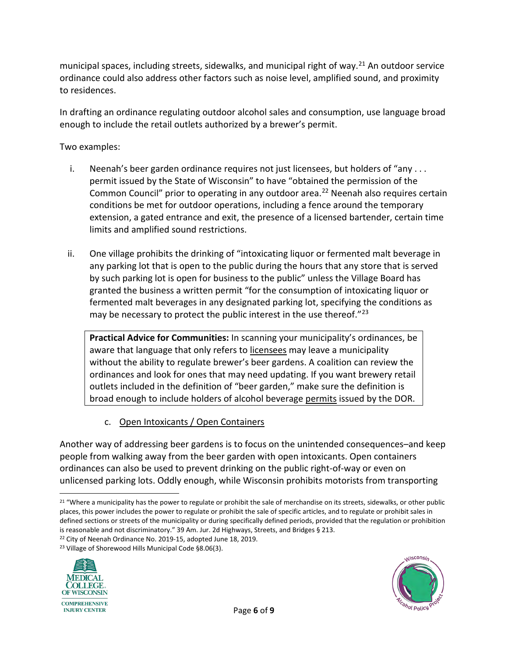municipal spaces, including streets, sidewalks, and municipal right of way.<sup>[21](#page-5-0)</sup> An outdoor service ordinance could also address other factors such as noise level, amplified sound, and proximity to residences.

In drafting an ordinance regulating outdoor alcohol sales and consumption, use language broad enough to include the retail outlets authorized by a brewer's permit.

Two examples:

- i. Neenah's beer garden ordinance requires not just licensees, but holders of "any ... permit issued by the State of Wisconsin" to have "obtained the permission of the Common Council" prior to operating in any outdoor area.<sup>[22](#page-5-1)</sup> Neenah also requires certain conditions be met for outdoor operations, including a fence around the temporary extension, a gated entrance and exit, the presence of a licensed bartender, certain time limits and amplified sound restrictions.
- ii. One village prohibits the drinking of "intoxicating liquor or fermented malt beverage in any parking lot that is open to the public during the hours that any store that is served by such parking lot is open for business to the public" unless the Village Board has granted the business a written permit "for the consumption of intoxicating liquor or fermented malt beverages in any designated parking lot, specifying the conditions as may be necessary to protect the public interest in the use thereof."[23](#page-5-2)

**Practical Advice for Communities:** In scanning your municipality's ordinances, be aware that language that only refers to licensees may leave a municipality without the ability to regulate brewer's beer gardens. A coalition can review the ordinances and look for ones that may need updating. If you want brewery retail outlets included in the definition of "beer garden," make sure the definition is broad enough to include holders of alcohol beverage permits issued by the DOR.

c. Open Intoxicants / Open Containers

Another way of addressing beer gardens is to focus on the unintended consequences–and keep people from walking away from the beer garden with open intoxicants. Open containers ordinances can also be used to prevent drinking on the public right-of-way or even on unlicensed parking lots. Oddly enough, while Wisconsin prohibits motorists from transporting

<span id="page-5-2"></span><span id="page-5-1"></span><sup>23</sup> Village of Shorewood Hills Municipal Code §8.06(3).





<span id="page-5-0"></span><sup>&</sup>lt;sup>21</sup> "Where a municipality has the power to regulate or prohibit the sale of merchandise on its streets, sidewalks, or other public places, this power includes the power to regulate or prohibit the sale of specific articles, and to regulate or prohibit sales in defined sections or streets of the municipality or during specifically defined periods, provided that the regulation or prohibition is reasonable and not discriminatory." 39 Am. Jur. 2d Highways, Streets, and Bridges § 213.

<sup>22</sup> City of Neenah Ordinance No. 2019-15, adopted June 18, 2019.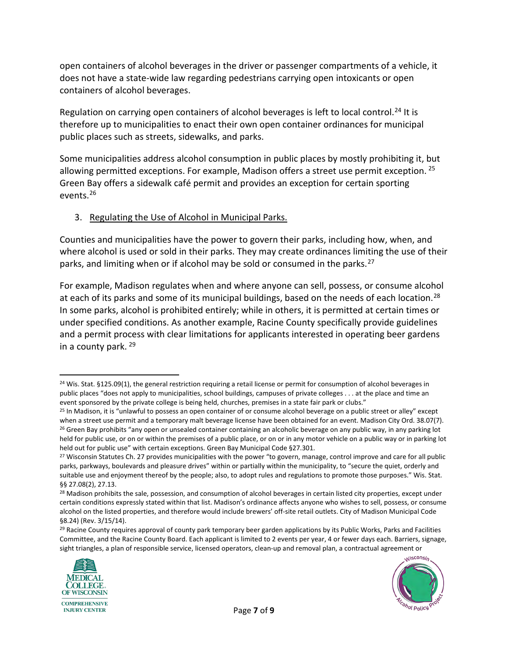open containers of alcohol beverages in the driver or passenger compartments of a vehicle, it does not have a state-wide law regarding pedestrians carrying open intoxicants or open containers of alcohol beverages.

Regulation on carrying open containers of alcohol beverages is left to local control.<sup>[24](#page-6-0)</sup> It is therefore up to municipalities to enact their own open container ordinances for municipal public places such as streets, sidewalks, and parks.

Some municipalities address alcohol consumption in public places by mostly prohibiting it, but allowing permitted exceptions. For example, Madison offers a street use permit exception.  $25$ Green Bay offers a sidewalk café permit and provides an exception for certain sporting events.[26](#page-6-2)

#### 3. Regulating the Use of Alcohol in Municipal Parks.

Counties and municipalities have the power to govern their parks, including how, when, and where alcohol is used or sold in their parks. They may create ordinances limiting the use of their parks, and limiting when or if alcohol may be sold or consumed in the parks. [27](#page-6-3)

For example, Madison regulates when and where anyone can sell, possess, or consume alcohol at each of its parks and some of its municipal buildings, based on the needs of each location.<sup>[28](#page-6-4)</sup> In some parks, alcohol is prohibited entirely; while in others, it is permitted at certain times or under specified conditions. As another example, Racine County specifically provide guidelines and a permit process with clear limitations for applicants interested in operating beer gardens in a county park. [29](#page-6-5)

<span id="page-6-5"></span><sup>&</sup>lt;sup>29</sup> Racine County requires approval of county park temporary beer garden applications by its Public Works, Parks and Facilities Committee, and the Racine County Board. Each applicant is limited to 2 events per year, 4 or fewer days each. Barriers, signage, sight triangles, a plan of responsible service, licensed operators, clean-up and removal plan, a contractual agreement or





<span id="page-6-0"></span><sup>&</sup>lt;sup>24</sup> Wis. Stat. §125.09(1), the general restriction requiring a retail license or permit for consumption of alcohol beverages in public places "does not apply to municipalities, school buildings, campuses of private colleges . . . at the place and time an event sponsored by the private college is being held, churches, premises in a state fair park or clubs."

<span id="page-6-2"></span><span id="page-6-1"></span><sup>&</sup>lt;sup>25</sup> In Madison, it is "unlawful to possess an open container of or consume alcohol beverage on a public street or alley" except when a street use permit and a temporary malt beverage license have been obtained for an event. Madison City Ord. 38.07(7). <sup>26</sup> Green Bay prohibits "any open or unsealed container containing an alcoholic beverage on any public way, in any parking lot held for public use, or on or within the premises of a public place, or on or in any motor vehicle on a public way or in parking lot held out for public use" with certain exceptions. Green Bay Municipal Code §27.301.<br><sup>27</sup> Wisconsin Statutes Ch. 27 provides municipalities with the power "to govern, manage, control improve and care for all public

<span id="page-6-3"></span>parks, parkways, boulevards and pleasure drives" within or partially within the municipality, to "secure the quiet, orderly and suitable use and enjoyment thereof by the people; also, to adopt rules and regulations to promote those purposes." Wis. Stat. §§ 27.08(2), 27.13.

<span id="page-6-4"></span><sup>&</sup>lt;sup>28</sup> Madison prohibits the sale, possession, and consumption of alcohol beverages in certain listed city properties, except under certain conditions expressly stated within that list. Madison's ordinance affects anyone who wishes to sell, possess, or consume alcohol on the listed properties, and therefore would include brewers' off-site retail outlets. City of Madison Municipal Code §8.24) (Rev. 3/15/14).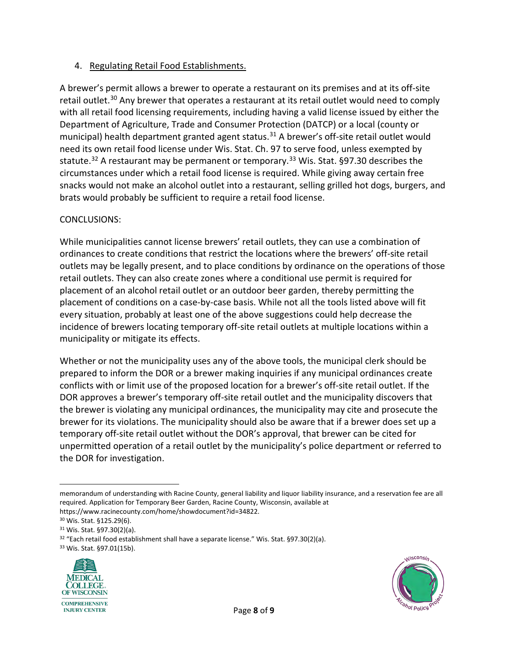#### 4. Regulating Retail Food Establishments.

A brewer's permit allows a brewer to operate a restaurant on its premises and at its off-site retail outlet.<sup>[30](#page-7-0)</sup> Any brewer that operates a restaurant at its retail outlet would need to comply with all retail food licensing requirements, including having a valid license issued by either the Department of Agriculture, Trade and Consumer Protection (DATCP) or a local (county or municipal) health department granted agent status.<sup>[31](#page-7-1)</sup> A brewer's off-site retail outlet would need its own retail food license under Wis. Stat. Ch. 97 to serve food, unless exempted by statute.<sup>[32](#page-7-2)</sup> A restaurant may be permanent or temporary.<sup>[33](#page-7-3)</sup> Wis. Stat. §97.30 describes the circumstances under which a retail food license is required. While giving away certain free snacks would not make an alcohol outlet into a restaurant, selling grilled hot dogs, burgers, and brats would probably be sufficient to require a retail food license.

#### CONCLUSIONS:

While municipalities cannot license brewers' retail outlets, they can use a combination of ordinances to create conditions that restrict the locations where the brewers' off-site retail outlets may be legally present, and to place conditions by ordinance on the operations of those retail outlets. They can also create zones where a conditional use permit is required for placement of an alcohol retail outlet or an outdoor beer garden, thereby permitting the placement of conditions on a case-by-case basis. While not all the tools listed above will fit every situation, probably at least one of the above suggestions could help decrease the incidence of brewers locating temporary off-site retail outlets at multiple locations within a municipality or mitigate its effects.

Whether or not the municipality uses any of the above tools, the municipal clerk should be prepared to inform the DOR or a brewer making inquiries if any municipal ordinances create conflicts with or limit use of the proposed location for a brewer's off-site retail outlet. If the DOR approves a brewer's temporary off-site retail outlet and the municipality discovers that the brewer is violating any municipal ordinances, the municipality may cite and prosecute the brewer for its violations. The municipality should also be aware that if a brewer does set up a temporary off-site retail outlet without the DOR's approval, that brewer can be cited for unpermitted operation of a retail outlet by the municipality's police department or referred to the DOR for investigation.

<span id="page-7-3"></span>



memorandum of understanding with Racine County, general liability and liquor liability insurance, and a reservation fee are all required. Application for Temporary Beer Garden, Racine County, Wisconsin, available at https://www.racinecounty.com/home/showdocument?id=34822.<br><sup>30</sup> Wis. Stat. §125.29(6).

<span id="page-7-0"></span>

<span id="page-7-2"></span><span id="page-7-1"></span> $31$  Wis. Stat. §97.30(2)(a).<br> $32$  "Each retail food establishment shall have a separate license." Wis. Stat. §97.30(2)(a).<br> $33$  Wis. Stat. §97.01(15b).